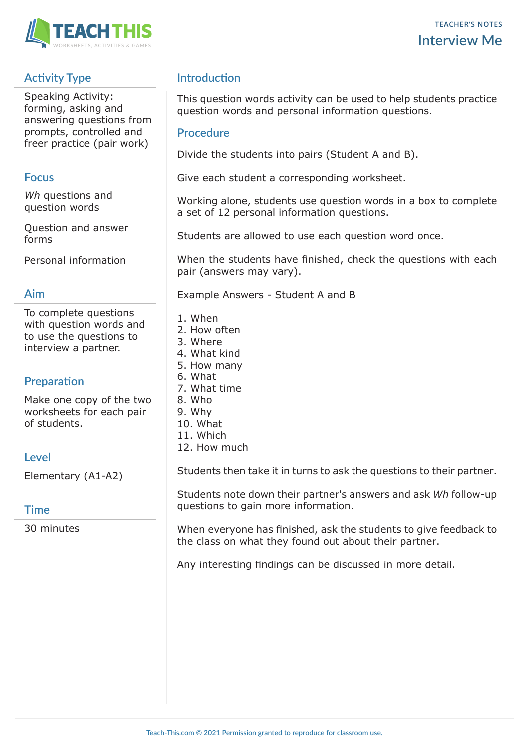

# **Activity Type**

Speaking Activity: forming, asking and answering questions from prompts, controlled and freer practice (pair work)

### **Focus**

*Wh* questions and question words

Question and answer forms

Personal information

### **Aim**

To complete questions with question words and to use the questions to interview a partner.

## **Preparation**

Make one copy of the two worksheets for each pair of students.

## **Level**

Elementary (A1-A2)

### **Time**

30 minutes

## **Introduction**

This question words activity can be used to help students practice question words and personal information questions.

#### **Procedure**

Divide the students into pairs (Student A and B).

Give each student a corresponding worksheet.

Working alone, students use question words in a box to complete a set of 12 personal information questions.

Students are allowed to use each question word once.

When the students have finished, check the questions with each pair (answers may vary).

Example Answers - Student A and B

- 1. When
- 2. How often
- 3. Where
- 4. What kind
- 5. How many
- 6. What
- 7. What time
- 8. Who
- 9. Why
- 10. What
- 11. Which
- 12. How much

Students then take it in turns to ask the questions to their partner.

Students note down their partner's answers and ask *Wh* follow-up questions to gain more information.

When everyone has finished, ask the students to give feedback to the class on what they found out about their partner.

Any interesting findings can be discussed in more detail.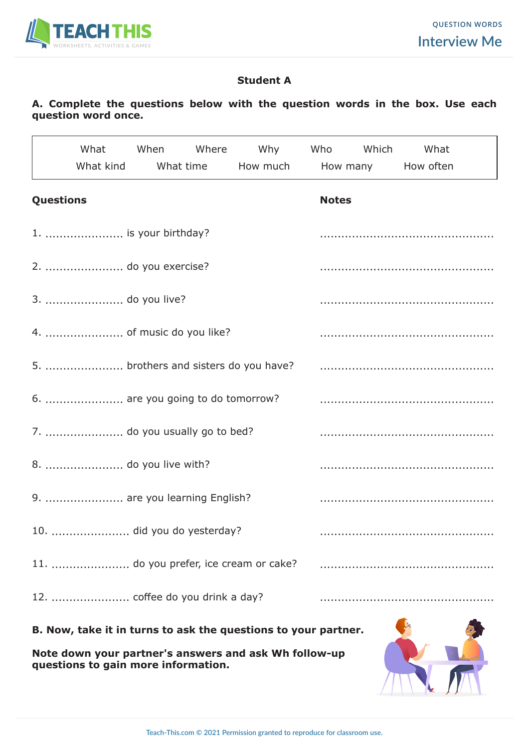

## **Student A**

## **A. Complete the questions below with the question words in the box. Use each question word once.**

|                  |                                   |  | What When Where Why Who Which What                             |  |  |  |  |  |
|------------------|-----------------------------------|--|----------------------------------------------------------------|--|--|--|--|--|
|                  |                                   |  | What kind What time How much How many How often                |  |  |  |  |  |
| <b>Questions</b> |                                   |  | <b>Notes</b>                                                   |  |  |  |  |  |
|                  | 1.  is your birthday?             |  |                                                                |  |  |  |  |  |
|                  | 2.  do you exercise?              |  |                                                                |  |  |  |  |  |
|                  | 3.  do you live?                  |  |                                                                |  |  |  |  |  |
|                  |                                   |  |                                                                |  |  |  |  |  |
|                  |                                   |  | 5.  brothers and sisters do you have?                          |  |  |  |  |  |
|                  | 6.  are you going to do tomorrow? |  |                                                                |  |  |  |  |  |
|                  | 7.  do you usually go to bed?     |  |                                                                |  |  |  |  |  |
|                  | 8.  do you live with?             |  |                                                                |  |  |  |  |  |
|                  | 9.  are you learning English?     |  |                                                                |  |  |  |  |  |
|                  | 10.  did you do yesterday?        |  |                                                                |  |  |  |  |  |
|                  |                                   |  |                                                                |  |  |  |  |  |
|                  |                                   |  |                                                                |  |  |  |  |  |
|                  |                                   |  | B. Now, take it in turns to ask the questions to your partner. |  |  |  |  |  |

**Note down your partner's answers and ask Wh follow-up questions to gain more information.**